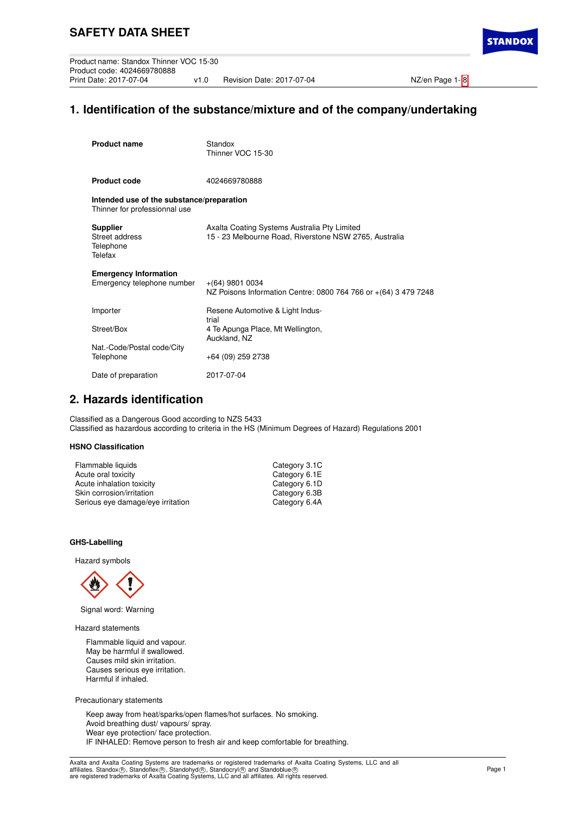**STANDO** 

## **1. Identification of the substance/mixture and of the company/undertaking**

| <b>Product name</b>                                                        | Standox<br>Thinner VOC 15-30                                                                           |
|----------------------------------------------------------------------------|--------------------------------------------------------------------------------------------------------|
| <b>Product code</b>                                                        | 4024669780888                                                                                          |
| Intended use of the substance/preparation<br>Thinner for professionnal use |                                                                                                        |
| <b>Supplier</b><br>Street address<br>Telephone<br>Telefax                  | Axalta Coating Systems Australia Pty Limited<br>15 - 23 Melbourne Road, Riverstone NSW 2765, Australia |
| <b>Emergency Information</b><br>Emergency telephone number                 | $+(64)$ 9801 0034<br>NZ Poisons Information Centre: 0800 764 766 or +(64) 3 479 7248                   |
| Importer                                                                   | Resene Automotive & Light Indus-<br>trial                                                              |
| Street/Box                                                                 | 4 Te Apunga Place, Mt Wellington,<br>Auckland, NZ                                                      |
| Nat.-Code/Postal code/City<br>Telephone                                    | +64 (09) 259 2738                                                                                      |
| Date of preparation                                                        | 2017-07-04                                                                                             |

## **2. Hazards identification**

Classified as a Dangerous Good according to NZS 5433 Classified as hazardous according to criteria in the HS (Minimum Degrees of Hazard) Regulations 2001

### **HSNO Classification**

| Flammable liquids                 | Category 3.1C |
|-----------------------------------|---------------|
| Acute oral toxicity               | Category 6.1E |
| Acute inhalation toxicity         | Category 6.1D |
| Skin corrosion/irritation         | Category 6.3B |
| Serious eye damage/eye irritation | Category 6.4A |

### **GHS-Labelling**

Hazard symbols



Signal word: Warning

Hazard statements

Flammable liquid and vapour. May be harmful if swallowed. Causes mild skin irritation. Causes serious eye irritation. Harmful if inhaled.

Precautionary statements

Keep away from heat/sparks/open flames/hot surfaces. No smoking. Avoid breathing dust/ vapours/ spray. Wear eye protection/ face protection. IF INHALED: Remove person to fresh air and keep comfortable for breathing.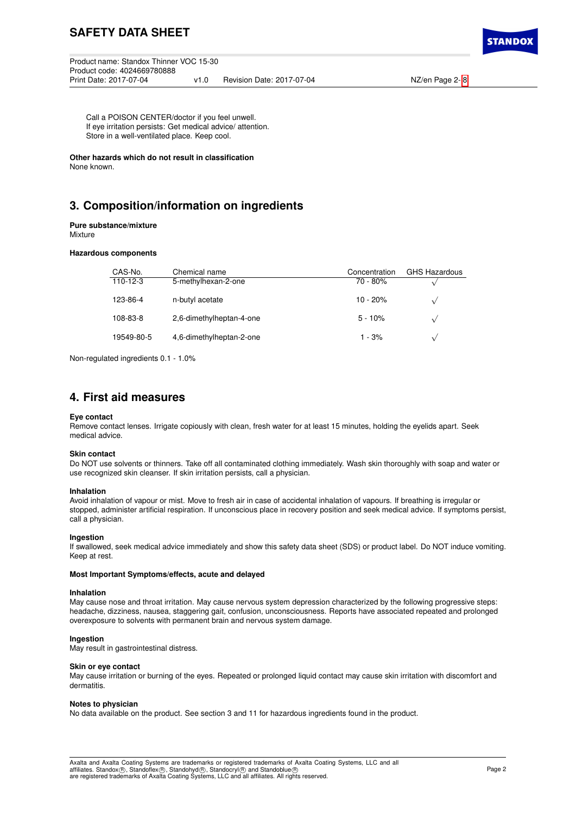Call a POISON CENTER/doctor if you feel unwell. If eye irritation persists: Get medical advice/ attention. Store in a well-ventilated place. Keep cool.

**Other hazards which do not result in classification** None known.

# **3. Composition/information on ingredients**

**Pure substance/mixture** Mixture

### **Hazardous components**

| CAS-No.    | Chemical name            | Concentration | <b>GHS Hazardous</b> |
|------------|--------------------------|---------------|----------------------|
| $110-12-3$ | 5-methylhexan-2-one      | $70 - 80%$    |                      |
| 123-86-4   | n-butyl acetate          | $10 - 20%$    | $\sqrt{ }$           |
| 108-83-8   | 2,6-dimethylheptan-4-one | $5 - 10%$     | $\sqrt{ }$           |
| 19549-80-5 | 4,6-dimethylheptan-2-one | $1 - 3%$      | $\sqrt{}$            |

Non-regulated ingredients 0.1 - 1.0%

## **4. First aid measures**

### **Eye contact**

Remove contact lenses. Irrigate copiously with clean, fresh water for at least 15 minutes, holding the eyelids apart. Seek medical advice.

### **Skin contact**

Do NOT use solvents or thinners. Take off all contaminated clothing immediately. Wash skin thoroughly with soap and water or use recognized skin cleanser. If skin irritation persists, call a physician.

### **Inhalation**

Avoid inhalation of vapour or mist. Move to fresh air in case of accidental inhalation of vapours. If breathing is irregular or stopped, administer artificial respiration. If unconscious place in recovery position and seek medical advice. If symptoms persist, call a physician.

### **Ingestion**

If swallowed, seek medical advice immediately and show this safety data sheet (SDS) or product label. Do NOT induce vomiting. Keep at rest.

### **Most Important Symptoms/effects, acute and delayed**

### **Inhalation**

May cause nose and throat irritation. May cause nervous system depression characterized by the following progressive steps: headache, dizziness, nausea, staggering gait, confusion, unconsciousness. Reports have associated repeated and prolonged overexposure to solvents with permanent brain and nervous system damage.

### **Ingestion**

May result in gastrointestinal distress.

### **Skin or eye contact**

May cause irritation or burning of the eyes. Repeated or prolonged liquid contact may cause skin irritation with discomfort and dermatitis.

### **Notes to physician**

No data available on the product. See section 3 and 11 for hazardous ingredients found in the product.

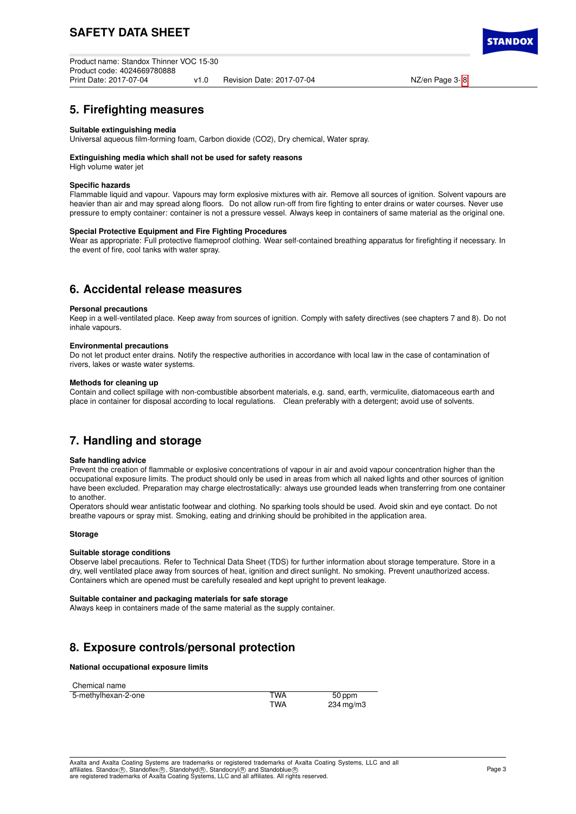Product name: Standox Thinner VOC 15-30 Product code: 4024669780888 v1.0 Revision Date: 2017-07-04 NZ/en Page 3- [8](#page-7-0) **TANDO** 

### **5. Firefighting measures**

### **Suitable extinguishing media**

Universal aqueous film-forming foam, Carbon dioxide (CO2), Dry chemical, Water spray.

### **Extinguishing media which shall not be used for safety reasons**

High volume water jet

### **Specific hazards**

Flammable liquid and vapour. Vapours may form explosive mixtures with air. Remove all sources of ignition. Solvent vapours are heavier than air and may spread along floors. Do not allow run-off from fire fighting to enter drains or water courses. Never use pressure to empty container: container is not a pressure vessel. Always keep in containers of same material as the original one.

### **Special Protective Equipment and Fire Fighting Procedures**

Wear as appropriate: Full protective flameproof clothing. Wear self-contained breathing apparatus for firefighting if necessary. In the event of fire, cool tanks with water spray.

### **6. Accidental release measures**

#### **Personal precautions**

Keep in a well-ventilated place. Keep away from sources of ignition. Comply with safety directives (see chapters 7 and 8). Do not inhale vapours.

#### **Environmental precautions**

Do not let product enter drains. Notify the respective authorities in accordance with local law in the case of contamination of rivers, lakes or waste water systems.

#### **Methods for cleaning up**

Contain and collect spillage with non-combustible absorbent materials, e.g. sand, earth, vermiculite, diatomaceous earth and place in container for disposal according to local regulations. Clean preferably with a detergent; avoid use of solvents.

## **7. Handling and storage**

### **Safe handling advice**

Prevent the creation of flammable or explosive concentrations of vapour in air and avoid vapour concentration higher than the occupational exposure limits. The product should only be used in areas from which all naked lights and other sources of ignition have been excluded. Preparation may charge electrostatically: always use grounded leads when transferring from one container to another.

Operators should wear antistatic footwear and clothing. No sparking tools should be used. Avoid skin and eye contact. Do not breathe vapours or spray mist. Smoking, eating and drinking should be prohibited in the application area.

### **Storage**

### **Suitable storage conditions**

Observe label precautions. Refer to Technical Data Sheet (TDS) for further information about storage temperature. Store in a dry, well ventilated place away from sources of heat, ignition and direct sunlight. No smoking. Prevent unauthorized access. Containers which are opened must be carefully resealed and kept upright to prevent leakage.

#### **Suitable container and packaging materials for safe storage**

Always keep in containers made of the same material as the supply container.

### **8. Exposure controls/personal protection**

#### **National occupational exposure limits**

Chemical name

| 5-methylhexan-2-one | TWA | 50 ppm         |
|---------------------|-----|----------------|
|                     | TWA | $234$ mg/m $3$ |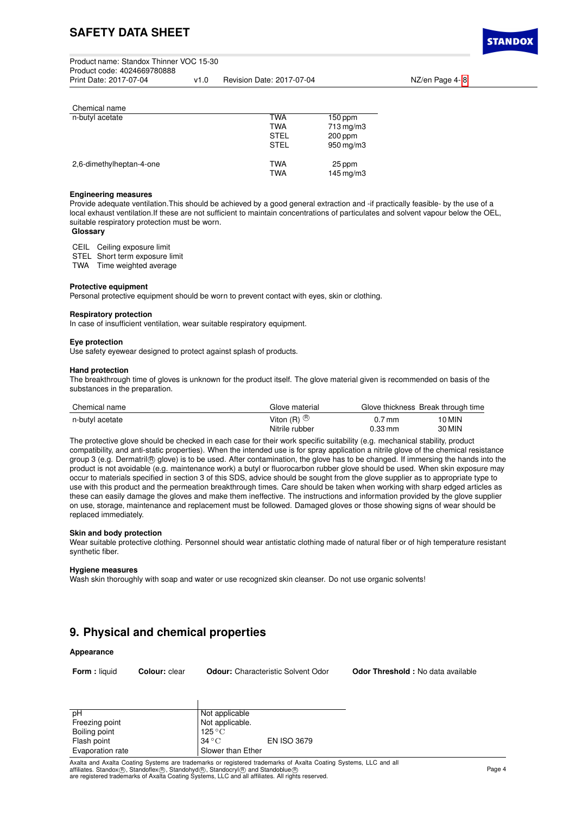| Product name: Standox Thinner VOC 15-30 |      |                           |
|-----------------------------------------|------|---------------------------|
| Product code: 4024669780888             |      |                           |
| Print Date: 2017-07-04                  | v1 0 | Revision Date: 2017-07-04 |

NZ/en Page 4- [8](#page-7-0)

### Chemical name

| n-butyl acetate          | TWA               | $150$ ppm                        |
|--------------------------|-------------------|----------------------------------|
|                          | <b>TWA</b>        | $713 \,\mathrm{mg/m}$            |
|                          | <b>STEL</b>       | $200$ ppm                        |
|                          | <b>STEL</b>       | $950 \,\mathrm{mg/m}$            |
| 2,6-dimethylheptan-4-one | <b>TWA</b><br>TWA | 25 ppm<br>$145 \,\mathrm{mq/m3}$ |

### **Engineering measures**

Provide adequate ventilation.This should be achieved by a good general extraction and -if practically feasible- by the use of a local exhaust ventilation.If these are not sufficient to maintain concentrations of particulates and solvent vapour below the OEL, suitable respiratory protection must be worn.

### **Glossary**

CEIL Ceiling exposure limit

STEL Short term exposure limit

TWA Time weighted average

### **Protective equipment**

Personal protective equipment should be worn to prevent contact with eyes, skin or clothing.

### **Respiratory protection**

In case of insufficient ventilation, wear suitable respiratory equipment.

### **Eye protection**

Use safety eyewear designed to protect against splash of products.

### **Hand protection**

The breakthrough time of gloves is unknown for the product itself. The glove material given is recommended on basis of the substances in the preparation.

| Chemical name   | Glove material          |                      | Glove thickness Break through time |
|-----------------|-------------------------|----------------------|------------------------------------|
| n-butyl acetate | Viton $(R)$ $\circledR$ | $0.7$ mm             | 10 MIN                             |
|                 | Nitrile rubber          | $0.33 \,\mathrm{mm}$ | 30 MIN                             |

The protective glove should be checked in each case for their work specific suitability (e.g. mechanical stability, product compatibility, and anti-static properties). When the intended use is for spray application a nitrile glove of the chemical resistance group 3 (e.g. Dermatril (R) glove) is to be used. After contamination, the glove has to be changed. If immersing the hands into the product is not avoidable (e.g. maintenance work) a butyl or fluorocarbon rubber glove should be used. When skin exposure may occur to materials specified in section 3 of this SDS, advice should be sought from the glove supplier as to appropriate type to use with this product and the permeation breakthrough times. Care should be taken when working with sharp edged articles as these can easily damage the gloves and make them ineffective. The instructions and information provided by the glove supplier on use, storage, maintenance and replacement must be followed. Damaged gloves or those showing signs of wear should be replaced immediately.

### **Skin and body protection**

Wear suitable protective clothing. Personnel should wear antistatic clothing made of natural fiber or of high temperature resistant synthetic fiber.

### **Hygiene measures**

Wash skin thoroughly with soap and water or use recognized skin cleanser. Do not use organic solvents!

## **9. Physical and chemical properties**

### **Appearance**

**Form :** liquid **Colour:** clear **Odour:** Characteristic Solvent Odor **Odor Threshold :** No data available

| рH               | Not applicable            |                    |
|------------------|---------------------------|--------------------|
| Freezing point   | Not applicable.           |                    |
| Boiling point    | $125\,^{\circ}\mathrm{C}$ |                    |
| Flash point      | $34^{\circ}$ C            | <b>EN ISO 3679</b> |
| Evaporation rate | Slower than Ether         |                    |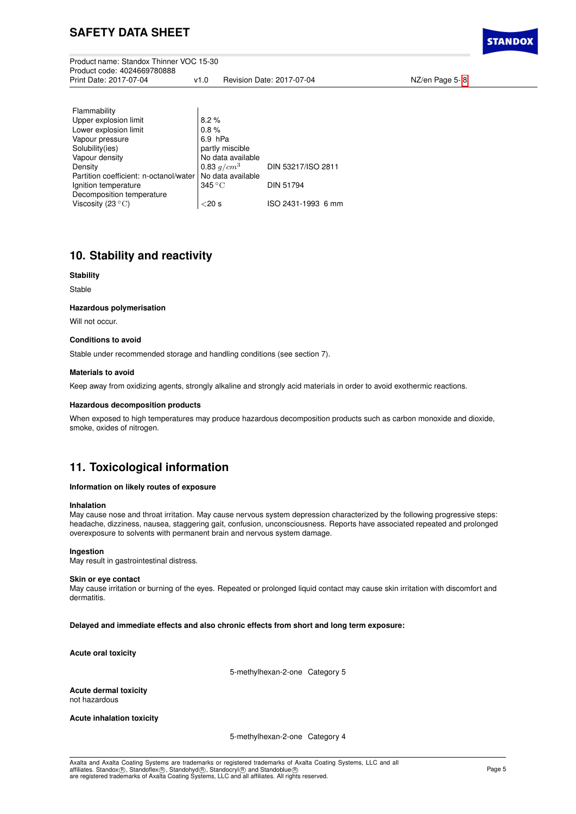| Product name: Standox Thinner VOC 15-30 |      |                           |
|-----------------------------------------|------|---------------------------|
| Product code: 4024669780888             |      |                           |
| Print Date: 2017-07-04                  | v1 0 | Revision Date: 2017-07-04 |

NZ/en Page 5- [8](#page-7-0)

| 6.9 hPa                                       |
|-----------------------------------------------|
| partly miscible                               |
| No data available                             |
| 0.83 $q/cm^3$<br>DIN 53217/ISO 2811           |
| No data available                             |
| $345\,^{\circ}\mathrm{C}$<br><b>DIN 51794</b> |
|                                               |
| ISO 2431-1993 6 mm                            |
|                                               |

## **10. Stability and reactivity**

### **Stability**

Stable

### **Hazardous polymerisation**

Will not occur.

### **Conditions to avoid**

Stable under recommended storage and handling conditions (see section 7).

### **Materials to avoid**

Keep away from oxidizing agents, strongly alkaline and strongly acid materials in order to avoid exothermic reactions.

#### **Hazardous decomposition products**

When exposed to high temperatures may produce hazardous decomposition products such as carbon monoxide and dioxide, smoke, oxides of nitrogen.

## **11. Toxicological information**

### **Information on likely routes of exposure**

### **Inhalation**

May cause nose and throat irritation. May cause nervous system depression characterized by the following progressive steps: headache, dizziness, nausea, staggering gait, confusion, unconsciousness. Reports have associated repeated and prolonged overexposure to solvents with permanent brain and nervous system damage.

### **Ingestion**

May result in gastrointestinal distress.

#### **Skin or eye contact**

May cause irritation or burning of the eyes. Repeated or prolonged liquid contact may cause skin irritation with discomfort and dermatitis.

**Delayed and immediate effects and also chronic effects from short and long term exposure:**

**Acute oral toxicity**

5-methylhexan-2-one Category 5

**Acute dermal toxicity** not hazardous

#### **Acute inhalation toxicity**

5-methylhexan-2-one Category 4

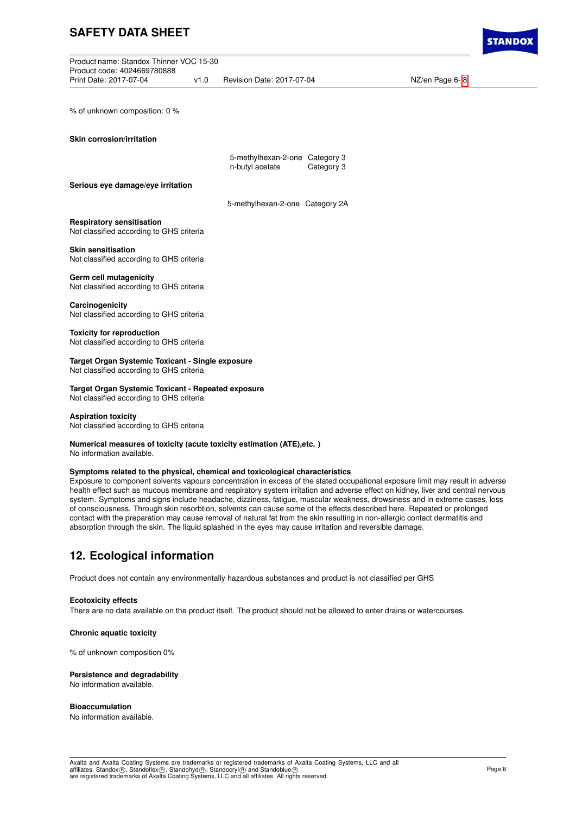| Product name: Standox Thinner VOC 15-30 |      |                         |
|-----------------------------------------|------|-------------------------|
| Product code: 4024669780888             |      |                         |
| Print Date: 2017-07-04                  | v1 0 | Revision Date: 2017-07- |

% of unknown composition: 0 %

| <b>Skin corrosion/irritation</b> |  |
|----------------------------------|--|
|                                  |  |

| 5-methylhexan-2-one Category 3<br>n-butyl acetate | Category 3 |
|---------------------------------------------------|------------|
|                                                   |            |

**Serious eye damage/eye irritation**

5-methylhexan-2-one Category 2A

### **Respiratory sensitisation**

Not classified according to GHS criteria

#### **Skin sensitisation**

Not classified according to GHS criteria

### **Germ cell mutagenicity**

Not classified according to GHS criteria

#### **Carcinogenicity** Not classified according to GHS criteria

**Toxicity for reproduction**

Not classified according to GHS criteria

**Target Organ Systemic Toxicant - Single exposure** Not classified according to GHS criteria

**Target Organ Systemic Toxicant - Repeated exposure** Not classified according to GHS criteria

### **Aspiration toxicity**

Not classified according to GHS criteria

### **Numerical measures of toxicity (acute toxicity estimation (ATE),etc. )**

No information available.

### **Symptoms related to the physical, chemical and toxicological characteristics**

Exposure to component solvents vapours concentration in excess of the stated occupational exposure limit may result in adverse health effect such as mucous membrane and respiratory system irritation and adverse effect on kidney, liver and central nervous system. Symptoms and signs include headache, dizziness, fatigue, muscular weakness, drowsiness and in extreme cases, loss of consciousness. Through skin resorbtion, solvents can cause some of the effects described here. Repeated or prolonged contact with the preparation may cause removal of natural fat from the skin resulting in non-allergic contact dermatitis and absorption through the skin. The liquid splashed in the eyes may cause irritation and reversible damage.

## **12. Ecological information**

Product does not contain any environmentally hazardous substances and product is not classified per GHS

### **Ecotoxicity effects**

There are no data available on the product itself. The product should not be allowed to enter drains or watercourses.

### **Chronic aquatic toxicity**

% of unknown composition 0%

### **Persistence and degradability**

No information available.

### **Bioaccumulation**

No information available.



Print Date: 2017-07-04 v1.0 NZ/en Page 6- [8](#page-7-0)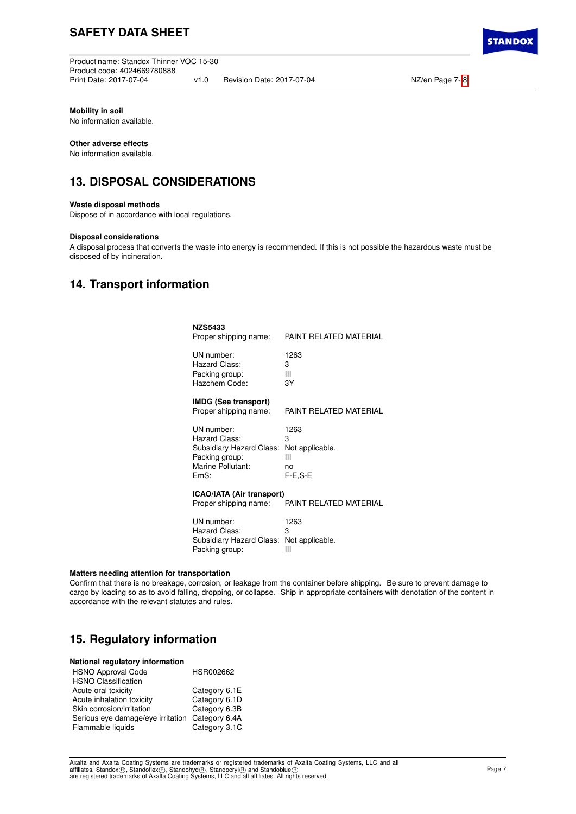Product name: Standox Thinner VOC 15-30 Product code: 4024669780888 v1.0 Revision Date: 2017-07-04 NZ/en Page 7- [8](#page-7-0)

**STANDO)** 

**Mobility in soil**

No information available.

### **Other adverse effects**

No information available.

## **13. DISPOSAL CONSIDERATIONS**

### **Waste disposal methods**

Dispose of in accordance with local regulations.

### **Disposal considerations**

A disposal process that converts the waste into energy is recommended. If this is not possible the hazardous waste must be disposed of by incineration.

### **14. Transport information**

| <b>NZS5433</b><br>Proper shipping name:                                                                                | PAINT RELATED MATERIAL            |
|------------------------------------------------------------------------------------------------------------------------|-----------------------------------|
| UN number:<br>Hazard Class:<br>Packing group:<br>Hazchem Code:                                                         | 1263<br>3<br>Ш<br>3Y              |
| IMDG (Sea transport)<br>Proper shipping name:                                                                          | PAINT RELATED MATERIAL            |
| UN number:<br>Hazard Class:<br>Subsidiary Hazard Class: Not applicable.<br>Packing group:<br>Marine Pollutant:<br>EmS: | 1263<br>з<br>Ш<br>no<br>$F-E.S-E$ |
| ICAO/IATA (Air transport)<br>Proper shipping name:                                                                     | PAINT RELATED MATERIAL            |
| UN number:<br>Hazard Class:<br>Subsidiary Hazard Class:<br>Packing group:                                              | 1263<br>3<br>Not applicable.<br>Ш |
| enortation)                                                                                                            |                                   |

### **Matters needing attention for transportation**

Confirm that there is no breakage, corrosion, or leakage from the container before shipping. Be sure to prevent damage to cargo by loading so as to avoid falling, dropping, or collapse. Ship in appropriate containers with denotation of the content in accordance with the relevant statutes and rules.

### **15. Regulatory information**

| National regulatory information   |               |
|-----------------------------------|---------------|
| <b>HSNO Approval Code</b>         | HSR002662     |
| <b>HSNO Classification</b>        |               |
| Acute oral toxicity               | Category 6.1E |
| Acute inhalation toxicity         | Category 6.1D |
| Skin corrosion/irritation         | Category 6.3B |
| Serious eye damage/eye irritation | Category 6.4A |
| Flammable liquids                 | Category 3.1C |
|                                   |               |